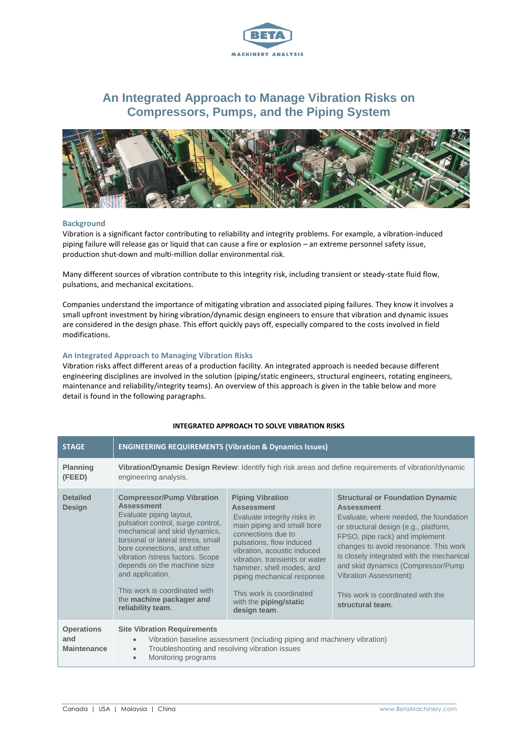

# **An Integrated Approach to Manage Vibration Risks on Compressors, Pumps, and the Piping System**



#### **Background**

Vibration is a significant factor contributing to reliability and integrity problems. For example, a vibration-induced piping failure will release gas or liquid that can cause a fire or explosion – an extreme personnel safety issue, production shut-down and multi-million dollar environmental risk.

Many different sources of vibration contribute to this integrity risk, including transient or steady-state fluid flow, pulsations, and mechanical excitations.

Companies understand the importance of mitigating vibration and associated piping failures. They know it involves a small upfront investment by hiring vibration/dynamic design engineers to ensure that vibration and dynamic issues are considered in the design phase. This effort quickly pays off, especially compared to the costs involved in field modifications.

### **An Integrated Approach to Managing Vibration Risks**

Vibration risks affect different areas of a production facility. An integrated approach is needed because different engineering disciplines are involved in the solution (piping/static engineers, structural engineers, rotating engineers, maintenance and reliability/integrity teams). An overview of this approach is given in the table below and more detail is found in the following paragraphs.

| <b>STAGE</b>                                   | <b>ENGINEERING REQUIREMENTS (Vibration &amp; Dynamics Issues)</b>                                                                                                                                                                                                                                                                                                                                    |                                                                                                                                                                                                                                                                                                                                                                      |                                                                                                                                                                                                                                                                                                                                                                                                        |
|------------------------------------------------|------------------------------------------------------------------------------------------------------------------------------------------------------------------------------------------------------------------------------------------------------------------------------------------------------------------------------------------------------------------------------------------------------|----------------------------------------------------------------------------------------------------------------------------------------------------------------------------------------------------------------------------------------------------------------------------------------------------------------------------------------------------------------------|--------------------------------------------------------------------------------------------------------------------------------------------------------------------------------------------------------------------------------------------------------------------------------------------------------------------------------------------------------------------------------------------------------|
| Planning<br>(FEED)                             | Vibration/Dynamic Design Review: Identify high risk areas and define requirements of vibration/dynamic<br>engineering analysis.                                                                                                                                                                                                                                                                      |                                                                                                                                                                                                                                                                                                                                                                      |                                                                                                                                                                                                                                                                                                                                                                                                        |
| <b>Detailed</b><br><b>Design</b>               | <b>Compressor/Pump Vibration</b><br><b>Assessment</b><br>Evaluate piping layout,<br>pulsation control, surge control,<br>mechanical and skid dynamics,<br>torsional or lateral stress, small<br>bore connections, and other<br>vibration /stress factors. Scope<br>depends on the machine size<br>and application.<br>This work is coordinated with<br>the machine packager and<br>reliability team. | <b>Piping Vibration</b><br><b>Assessment</b><br>Evaluate integrity risks in<br>main piping and small bore<br>connections due to<br>pulsations, flow induced<br>vibration, acoustic induced<br>vibration, transients or water<br>hammer, shell modes, and<br>piping mechanical response.<br>This work is coordinated<br>with the <b>piping/static</b><br>design team. | <b>Structural or Foundation Dynamic</b><br><b>Assessment</b><br>Evaluate, where needed, the foundation<br>or structural design (e.g., platform,<br>FPSO, pipe rack) and implement<br>changes to avoid resonance. This work<br>is closely integrated with the mechanical<br>and skid dynamics (Compressor/Pump<br><b>Vibration Assessment)</b><br>This work is coordinated with the<br>structural team. |
| <b>Operations</b><br>and<br><b>Maintenance</b> | <b>Site Vibration Requirements</b><br>Vibration baseline assessment (including piping and machinery vibration)<br>$\bullet$<br>Troubleshooting and resolving vibration issues<br>Monitoring programs                                                                                                                                                                                                 |                                                                                                                                                                                                                                                                                                                                                                      |                                                                                                                                                                                                                                                                                                                                                                                                        |

## **INTEGRATED APPROACH TO SOLVE VIBRATION RISKS**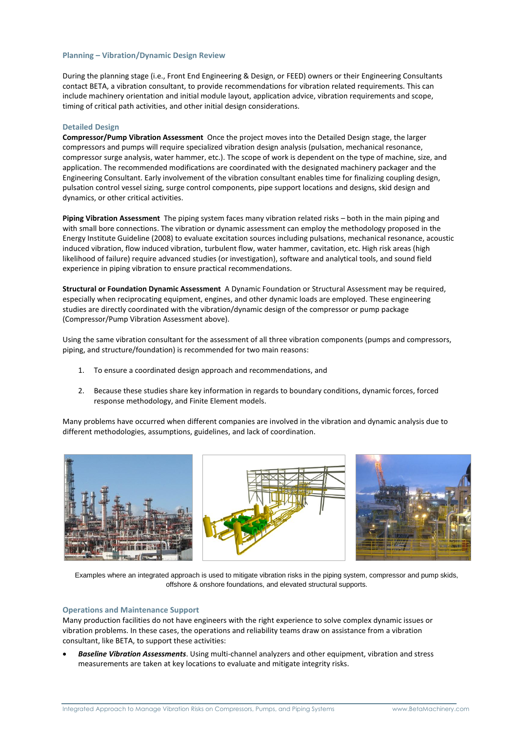#### **Planning – Vibration/Dynamic Design Review**

During the planning stage (i.e., Front End Engineering & Design, or FEED) owners or their Engineering Consultants contact BETA, a vibration consultant, to provide recommendations for vibration related requirements. This can include machinery orientation and initial module layout, application advice, vibration requirements and scope, timing of critical path activities, and other initial design considerations.

#### **Detailed Design**

**Compressor/Pump Vibration Assessment** Once the project moves into the Detailed Design stage, the larger compressors and pumps will require specialized vibration design analysis (pulsation, mechanical resonance, compressor surge analysis, water hammer, etc.). The scope of work is dependent on the type of machine, size, and application. The recommended modifications are coordinated with the designated machinery packager and the Engineering Consultant. Early involvement of the vibration consultant enables time for finalizing coupling design, pulsation control vessel sizing, surge control components, pipe support locations and designs, skid design and dynamics, or other critical activities.

**Piping Vibration Assessment** The piping system faces many vibration related risks – both in the main piping and with small bore connections. The vibration or dynamic assessment can employ the methodology proposed in the Energy Institute Guideline (2008) to evaluate excitation sources including pulsations, mechanical resonance, acoustic induced vibration, flow induced vibration, turbulent flow, water hammer, cavitation, etc. High risk areas (high likelihood of failure) require advanced studies (or investigation), software and analytical tools, and sound field experience in piping vibration to ensure practical recommendations.

**Structural or Foundation Dynamic Assessment** A Dynamic Foundation or Structural Assessment may be required, especially when reciprocating equipment, engines, and other dynamic loads are employed. These engineering studies are directly coordinated with the vibration/dynamic design of the compressor or pump package (Compressor/Pump Vibration Assessment above).

Using the same vibration consultant for the assessment of all three vibration components (pumps and compressors, piping, and structure/foundation) is recommended for two main reasons:

- 1. To ensure a coordinated design approach and recommendations, and
- 2. Because these studies share key information in regards to boundary conditions, dynamic forces, forced response methodology, and Finite Element models.

Many problems have occurred when different companies are involved in the vibration and dynamic analysis due to different methodologies, assumptions, guidelines, and lack of coordination.



Examples where an integrated approach is used to mitigate vibration risks in the piping system, compressor and pump skids, offshore & onshore foundations, and elevated structural supports.

#### **Operations and Maintenance Support**

Many production facilities do not have engineers with the right experience to solve complex dynamic issues or vibration problems. In these cases, the operations and reliability teams draw on assistance from a vibration consultant, like BETA, to support these activities:

 *Baseline Vibration Assessments*. Using multi-channel analyzers and other equipment, vibration and stress measurements are taken at key locations to evaluate and mitigate integrity risks.